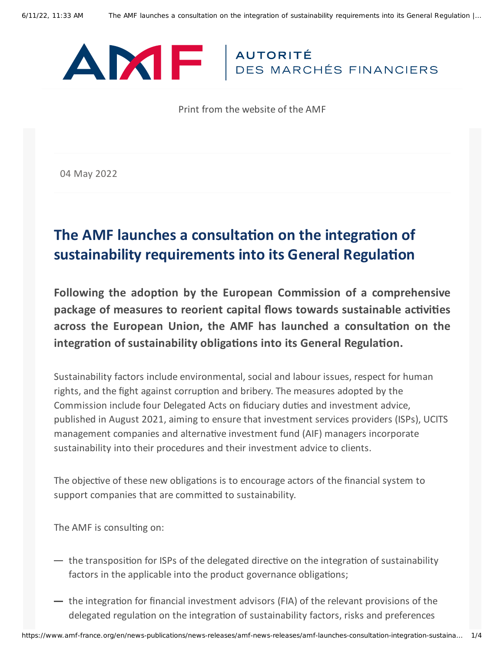

Print from the website of the AMF

04 May 2022

## **The AMF launches a consultation on the integration of sustainability requirements into its General Regulation**

**Following the adoption by the European Commission of a comprehensive package of measures to reorient capital flows towards sustainable activities across the European Union, the AMF has launched a consultation on the integration of sustainability obligations into its General Regulation.**

Sustainability factors include environmental, social and labour issues, respect for human rights, and the fight against corruption and bribery. The measures adopted by the Commission include four Delegated Acts on fiduciary duties and investment advice, published in August 2021, aiming to ensure that investment services providers (ISPs), UCITS management companies and alternative investment fund (AIF) managers incorporate sustainability into their procedures and their investment advice to clients.

The objective of these new obligations is to encourage actors of the financial system to support companies that are committed to sustainability.

The AMF is consulting on:

- $-$  the transposition for ISPs of the delegated directive on the integration of sustainability factors in the applicable into the product governance obligations;
- $-$  the integration for financial investment advisors (FIA) of the relevant provisions of the delegated regulation on the integration of sustainability factors, risks and preferences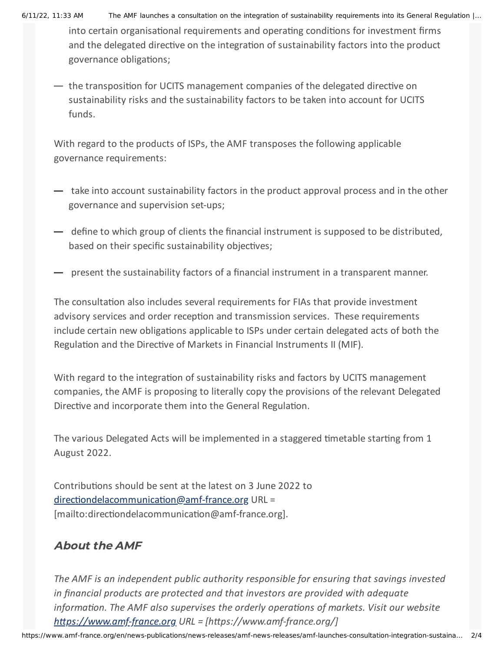6/11/22, 11:33 AM The AMF launches a consultation on the integration of sustainability requirements into its General Regulation |…

into certain organisational requirements and operating conditions for investment firms and the delegated directive on the integration of sustainability factors into the product governance obligations;

 $-$  the transposition for UCITS management companies of the delegated directive on sustainability risks and the sustainability factors to be taken into account for UCITS funds.

With regard to the products of ISPs, the AMF transposes the following applicable governance requirements:

- take into account sustainability factors in the product approval process and in the other governance and supervision set-ups;
- $-$  define to which group of clients the financial instrument is supposed to be distributed, based on their specific sustainability objectives;
- present the sustainability factors of a financial instrument in a transparent manner.

The consultation also includes several requirements for FIAs that provide investment advisory services and order reception and transmission services. These requirements include certain new obligations applicable to ISPs under certain delegated acts of both the Regulation and the Directive of Markets in Financial Instruments II (MIF).

With regard to the integration of sustainability risks and factors by UCITS management companies, the AMF is proposing to literally copy the provisions of the relevant Delegated Directive and incorporate them into the General Regulation.

The various Delegated Acts will be implemented in a staggered timetable starting from 1 August 2022.

Contributions should be sent at the latest on 3 June 2022 to [directiondelacommunication@amf-france.org](mailto:directiondelacommunication@amf-france.org) URL = [mailto:directiondelacommunication@amf-france.org].

## About the AMF

*The AMF is an independent public authority responsible for ensuring that savings invested in financial products are protected and that investors are provided with adequate information. The AMF also supervises the orderly operations of markets. Visit our website [https://www.amf-france.org](https://www.amf-france.org/) URL = [https://www.amf-france.org/]*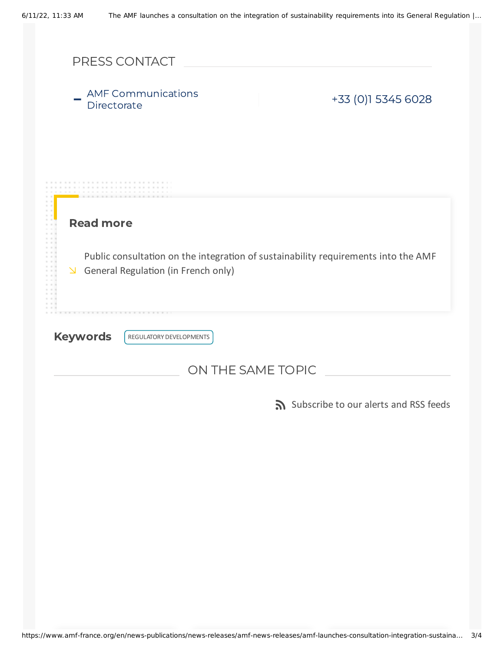|                   | PRESS CONTACT                                                                                                             |  |  |                                       |  |
|-------------------|---------------------------------------------------------------------------------------------------------------------------|--|--|---------------------------------------|--|
| Directorate       | <b>AMF Communications</b>                                                                                                 |  |  | +33 (0)1 5345 6028                    |  |
|                   |                                                                                                                           |  |  |                                       |  |
| <b>Read more</b>  |                                                                                                                           |  |  |                                       |  |
| $\Delta$          | Public consultation on the integration of sustainability requirements into the AMF<br>General Regulation (in French only) |  |  |                                       |  |
| <b>Keywords</b>   | REGULATORY DEVELOPMENTS                                                                                                   |  |  |                                       |  |
| ON THE SAME TOPIC |                                                                                                                           |  |  |                                       |  |
|                   |                                                                                                                           |  |  | Subscribe to our alerts and RSS feeds |  |
|                   |                                                                                                                           |  |  |                                       |  |
|                   |                                                                                                                           |  |  |                                       |  |
|                   |                                                                                                                           |  |  |                                       |  |
|                   |                                                                                                                           |  |  |                                       |  |
|                   |                                                                                                                           |  |  |                                       |  |